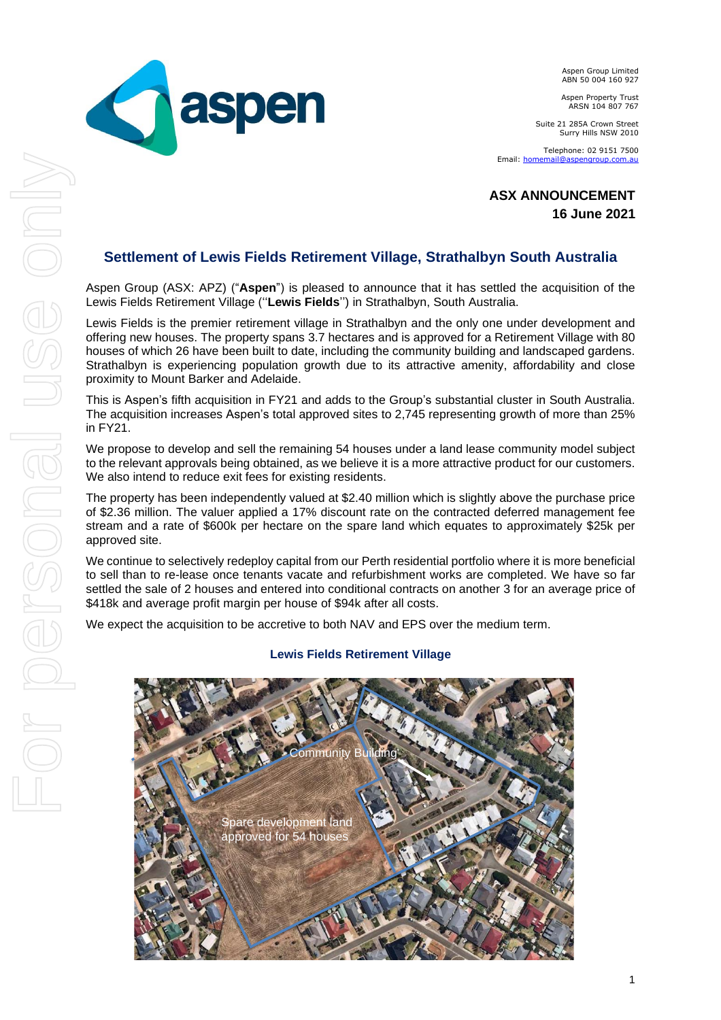Aspen Group Limited ABN 50 004 160 927

Aspen Property Trust ARSN 104 807 767

Suite 21 285A Crown Street Surry Hills NSW 2010

Telephone: 02 9151 7500 Email: **homema** 

 **ASX ANNOUNCEMENT 16 June 2021**

## **Settlement of Lewis Fields Retirement Village, Strathalbyn South Australia**

**Contract aspen** 

Aspen Group (ASX: APZ) ("**Aspen**") is pleased to announce that it has settled the acquisition of the Lewis Fields Retirement Village (''**Lewis Fields**'') in Strathalbyn, South Australia.

Lewis Fields is the premier retirement village in Strathalbyn and the only one under development and offering new houses. The property spans 3.7 hectares and is approved for a Retirement Village with 80 houses of which 26 have been built to date, including the community building and landscaped gardens. Strathalbyn is experiencing population growth due to its attractive amenity, affordability and close proximity to Mount Barker and Adelaide.

This is Aspen's fifth acquisition in FY21 and adds to the Group's substantial cluster in South Australia. The acquisition increases Aspen's total approved sites to 2,745 representing growth of more than 25% in FY21.

We propose to develop and sell the remaining 54 houses under a land lease community model subject to the relevant approvals being obtained, as we believe it is a more attractive product for our customers. We also intend to reduce exit fees for existing residents.

The property has been independently valued at \$2.40 million which is slightly above the purchase price of \$2.36 million. The valuer applied a 17% discount rate on the contracted deferred management fee stream and a rate of \$600k per hectare on the spare land which equates to approximately \$25k per approved site.

We continue to selectively redeploy capital from our Perth residential portfolio where it is more beneficial to sell than to re-lease once tenants vacate and refurbishment works are completed. We have so far settled the sale of 2 houses and entered into conditional contracts on another 3 for an average price of \$418k and average profit margin per house of \$94k after all costs.

We expect the acquisition to be accretive to both NAV and EPS over the medium term.

## Spare development land approved for 54 houses Community

## **Lewis Fields Retirement Village**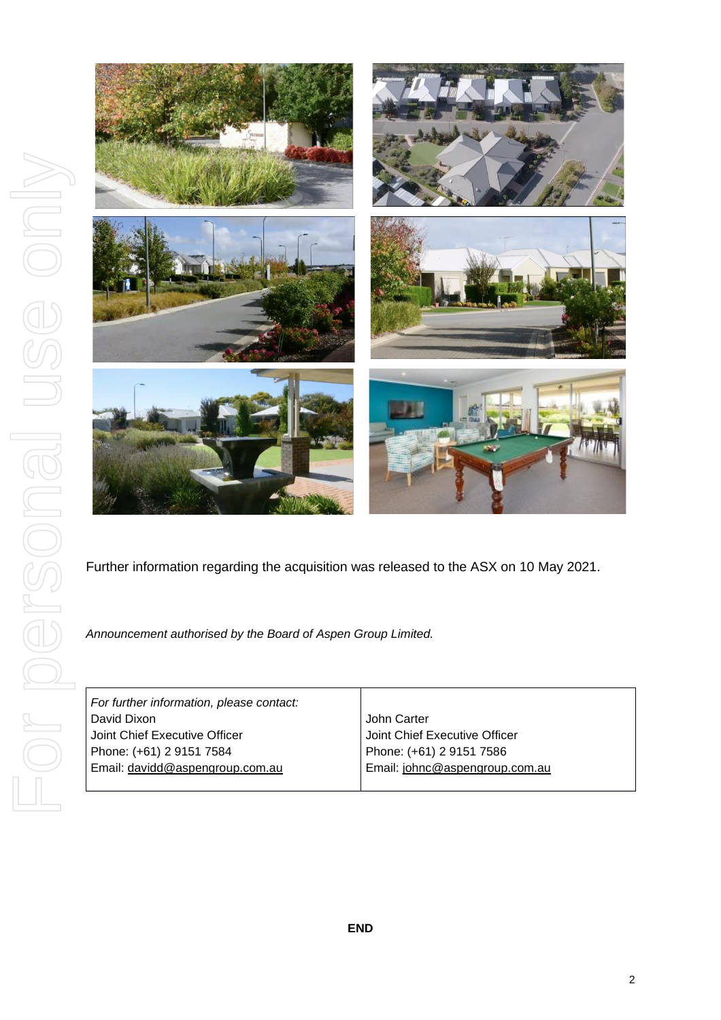

Further information regarding the acquisition was released to the ASX on 10 May 2021.

*Announcement authorised by the Board of Aspen Group Limited.*

| For further information, please contact: |                                |
|------------------------------------------|--------------------------------|
| David Dixon                              | John Carter                    |
| Joint Chief Executive Officer            | Joint Chief Executive Officer  |
| Phone: (+61) 2 9151 7584                 | Phone: (+61) 2 9151 7586       |
| Email: davidd@aspengroup.com.au          | Email: johnc@aspengroup.com.au |
|                                          |                                |